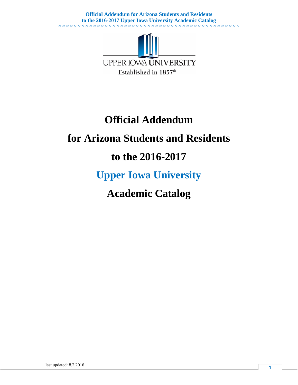**Official Addendum for Arizona Students and Residents to the 2016-2017 Upper Iowa University Academic Catalog** 



# **Official Addendum**

# **for Arizona Students and Residents**

# **to the 2016-2017**

**Upper Iowa University** 

**Academic Catalog**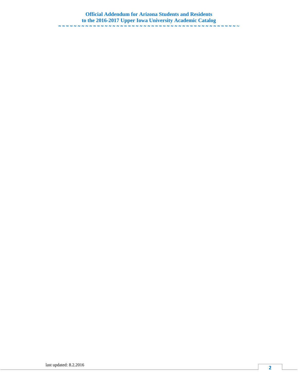#### **Official Addendum for Arizona Students and Residents to the 2016-2017 Upper Iowa University Academic Catalog ~ ~ ~ ~ ~ ~ ~ ~ ~ ~ ~ ~ ~ ~ ~ ~ ~ ~ ~ ~ ~ ~ ~ ~ ~ ~ ~ ~ ~ ~ ~ ~ ~ ~ ~ ~ ~ ~ ~ ~ ~ ~ ~ ~ ~ ~** ~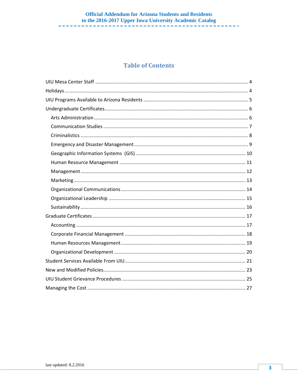#### **Official Addendum for Arizona Students and Residents** to the 2016-2017 Upper Iowa University Academic Catalog

## **Table of Contents**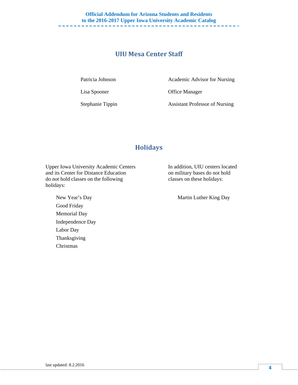## **UIU Mesa Center Staff**

Patricia Johnson Academic Advisor for Nursing

Lisa Spooner Office Manager

Stephanie Tippin Assistant Professor of Nursing

### **Holidays**

Upper Iowa University Academic Centers In addition, UIU centers located and its Center for Distance Education on military bases do not hold do not hold classes on the following classes on these holidays: holidays:

Good Friday Memorial Day Independence Day Labor Day Thanksgiving Christmas

New Year's Day Martin Luther King Day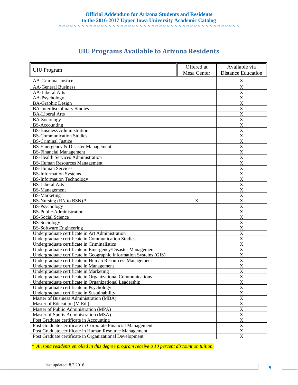| <b>UIU</b> Program                                                | Offered at  | Available via             |
|-------------------------------------------------------------------|-------------|---------------------------|
|                                                                   | Mesa Center | <b>Distance Education</b> |
| <b>AA-Criminal Justice</b>                                        |             | X                         |
| <b>AA-General Business</b>                                        |             | X                         |
| <b>AA-Liberal Arts</b>                                            |             | X                         |
| AA-Psychology                                                     |             | X                         |
| <b>BA-Graphic Design</b>                                          |             | $\mathbf X$               |
| <b>BA-Interdisciplinary Studies</b>                               |             | X                         |
| <b>BA-Liberal Arts</b>                                            |             | $\mathbf X$               |
| <b>BA-Sociology</b>                                               |             | $\mathbf X$               |
| <b>BS-Accounting</b>                                              |             | X                         |
| <b>BS-Business Administration</b>                                 |             | X                         |
| <b>BS-Communication Studies</b>                                   |             | X                         |
| <b>BS-Criminal Justice</b>                                        |             | $\mathbf X$               |
| BS-Emergency & Disaster Management                                |             | X                         |
| <b>BS-Financial Management</b>                                    |             | $\mathbf X$               |
| <b>BS-Health Services Administration</b>                          |             | $\overline{\mathbf{X}}$   |
| <b>BS-Human Resources Management</b>                              |             | X                         |
| <b>BS-Human Services</b>                                          |             | X                         |
| <b>BS-Information Systems</b>                                     |             | X                         |
| <b>BS-Information Technology</b>                                  |             | X                         |
| <b>BS-Liberal Arts</b>                                            |             | X                         |
| <b>BS-Management</b>                                              |             | $\mathbf X$               |
| <b>BS-Marketing</b>                                               |             | $\overline{\text{X}}$     |
| BS-Nursing (RN to BSN) *                                          | X           | X                         |
| <b>BS-Psychology</b>                                              |             | X                         |
| <b>BS-Public Administration</b>                                   |             | X                         |
| <b>BS-Social Science</b>                                          |             | X                         |
| <b>BS-Sociology</b>                                               |             | $\mathbf X$               |
| <b>BS-Software Engineering</b>                                    |             | X                         |
| Undergraduate certificate in Art Administration                   |             | $\overline{\mathbf{X}}$   |
| Undergraduate certificate in Communication Studies                |             | $\overline{\text{X}}$     |
| Undergraduate certificate in Criminalistics                       |             | X                         |
| Undergraduate certificate in Emergency/Disaster Management        |             | X                         |
| Undergraduate certificate in Geographic Information Systems (GIS) |             | X                         |
| Undergraduate certificate in Human Resources Management           |             | $\mathbf X$               |
| Undergraduate certificate in Management                           |             | X                         |
| Undergraduate certificate in Marketing                            |             | X                         |
| Undergraduate certificate in Organizational Communications        |             | $\overline{\mathbf{X}}$   |
| Undergraduate certificate in Organizational Leadership            |             | $\boldsymbol{\mathrm{X}}$ |
| Undergraduate certificate in Psychology                           |             | X                         |
| Undergraduate certificate in Sustainability                       |             | $\mathbf X$               |
| Master of Business Administration (MBA)                           |             | $\mathbf X$               |
| Master of Education (M.Ed.)                                       |             | $\boldsymbol{\mathrm{X}}$ |
| Master of Public Administration (MPA)                             |             | $\overline{X}$            |
| Master of Sports Administration (MSA)                             |             | $\overline{\text{X}}$     |
| Post Graduate certificate in Accounting                           |             | $\overline{\text{X}}$     |
| Post Graduate certificate in Corporate Financial Management       |             | X                         |
| Post Graduate certificate in Human Resource Management            |             | $\mathbf X$               |
| Post Graduate certificate in Organizational Development           |             | X                         |

### **UIU Programs Available to Arizona Residents**

*\* Arizona residents enrolled in this degree program receive a 10 percent discount on tuition.*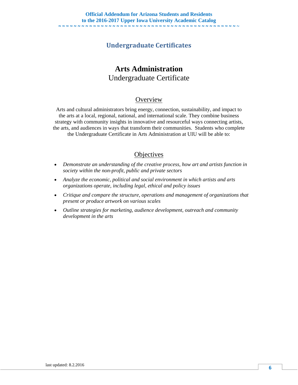### **Undergraduate Certificates**

# **Arts Administration**  Undergraduate Certificate

### **Overview**

Arts and cultural administrators bring energy, connection, sustainability, and impact to the arts at a local, regional, national, and international scale. They combine business strategy with community insights in innovative and resourceful ways connecting artists, the arts, and audiences in ways that transform their communities. Students who complete the Undergraduate Certificate in Arts Administration at UIU will be able to:

- *Demonstrate an understanding of the creative process, how art and artists function in society within the non-profit, public and private sectors*
- *Analyze the economic, political and social environment in which artists and arts organizations operate, including legal, ethical and policy issues*
- *Critique and compare the structure, operations and management of organizations that present or produce artwork on various scales*
- *Outline strategies for marketing, audience development, outreach and community development in the arts*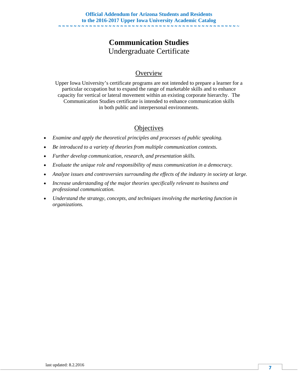# **Communication Studies**  Undergraduate Certificate

### **Overview**

Upper Iowa University's certificate programs are not intended to prepare a learner for a particular occupation but to expand the range of marketable skills and to enhance capacity for vertical or lateral movement within an existing corporate hierarchy. The Communication Studies certificate is intended to enhance communication skills in both public and interpersonal environments.

- *Examine and apply the theoretical principles and processes of public speaking.*
- *Be introduced to a variety of theories from multiple communication contexts.*
- *Further develop communication, research, and presentation skills.*
- *Evaluate the unique role and responsibility of mass communication in a democracy.*
- *Analyze issues and controversies surrounding the effects of the industry in society at large.*
- *Increase understanding of the major theories specifically relevant to business and professional communication.*
- *Understand the strategy, concepts, and techniques involving the marketing function in organizations.*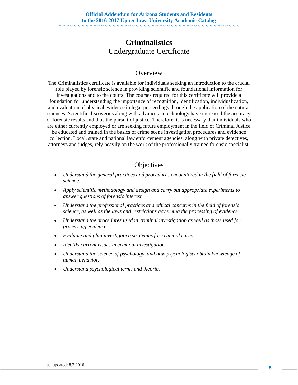# **Criminalistics**  Undergraduate Certificate

#### **Overview**

The Criminalistics certificate is available for individuals seeking an introduction to the crucial role played by forensic science in providing scientific and foundational information for investigations and to the courts. The courses required for this certificate will provide a foundation for understanding the importance of recognition, identification, individualization, and evaluation of physical evidence in legal proceedings through the application of the natural sciences. Scientific discoveries along with advances in technology have increased the accuracy of forensic results and thus the pursuit of justice. Therefore, it is necessary that individuals who are either currently employed or are seeking future employment in the field of Criminal Justice be educated and trained in the basics of crime scene investigation procedures and evidence collection. Local, state and national law enforcement agencies, along with private detectives, attorneys and judges, rely heavily on the work of the professionally trained forensic specialist.

- *Understand the general practices and procedures encountered in the field of forensic science.*
- *Apply scientific methodology and design and carry out appropriate experiments to answer questions of forensic interest.*
- *Understand the professional practices and ethical concerns in the field of forensic science, as well as the laws and restrictions governing the processing of evidence.*
- *Understand the procedures used in criminal investigation as well as those used for processing evidence.*
- *Evaluate and plan investigative strategies for criminal cases.*
- *Identify current issues in criminal investigation.*
- *Understand the science of psychology, and how psychologists obtain knowledge of human behavior.*
- *Understand psychological terms and theories.*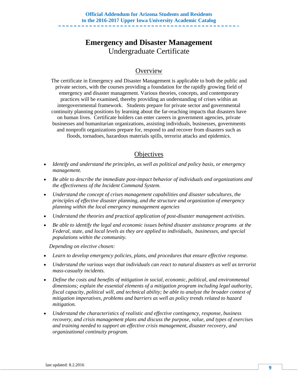# **Emergency and Disaster Management**  Undergraduate Certificate

### **Overview**

The certificate in Emergency and Disaster Management is applicable to both the public and private sectors, with the courses providing a foundation for the rapidly growing field of emergency and disaster management. Various theories, concepts, and contemporary practices will be examined, thereby providing an understanding of crises within an intergovernmental framework. Students prepare for private sector and governmental continuity planning positions by learning about the far-reaching impacts that disasters have on human lives. Certificate holders can enter careers in government agencies, private businesses and humanitarian organizations, assisting individuals, businesses, governments and nonprofit organizations prepare for, respond to and recover from disasters such as floods, tornadoes, hazardous materials spills, terrorist attacks and epidemics.

### **Objectives**

- *Identify and understand the principles, as well as political and policy basis, or emergency management.*
- *Be able to describe the immediate post-impact behavior of individuals and organizations and the effectiveness of the Incident Command System.*
- *Understand the concept of crises management capabilities and disaster subcultures, the principles of effective disaster planning, and the structure and organization of emergency planning within the local emergency management agencies*
- *Understand the theories and practical application of post-disaster management activities.*
- *Be able to identify the legal and economic issues behind disaster assistance programs at the Federal, state, and local levels as they are applied to individuals, businesses, and special populations within the community.*

 *Depending on elective chosen:* 

- *Learn to develop emergency policies, plans, and procedures that ensure effective response.*
- *Understand the various ways that individuals can react to natural disasters as well as terrorist mass-casualty incidents.*
- *Define the costs and benefits of mitigation in social, economic, political, and environmental dimensions; explain the essential elements of a mitigation program including legal authority, fiscal capacity, political will, and technical ability; be able to analyze the broader context of mitigation imperatives, problems and barriers as well as policy trends related to hazard mitigation.*
- *Understand the characteristics of realistic and effective contingency, response, business recovery, and crisis management plans and discuss the purpose, value, and types of exercises and training needed to support an effective crisis management, disaster recovery, and organizational continuity program.*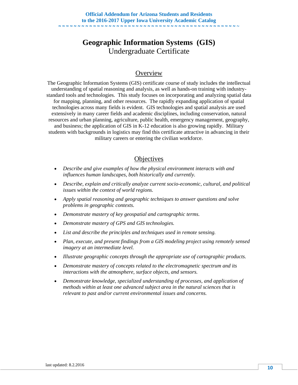# **Geographic Information Systems (GIS)**  Undergraduate Certificate

### **Overview**

The Geographic Information Systems (GIS) certificate course of study includes the intellectual understanding of spatial reasoning and analysis, as well as hands-on training with industrystandard tools and technologies. This study focuses on incorporating and analyzing spatial data for mapping, planning, and other resources. The rapidly expanding application of spatial technologies across many fields is evident. GIS technologies and spatial analysis are used extensively in many career fields and academic disciplines, including conservation, natural resources and urban planning, agriculture, public health, emergency management, geography, and business; the application of GIS in K-12 education is also growing rapidly. Military students with backgrounds in logistics may find this certificate attractive in advancing in their military careers or entering the civilian workforce.

- *Describe and give examples of how the physical environment interacts with and influences human landscapes, both historically and currently.*
- *Describe, explain and critically analyze current socio-economic, cultural, and political issues within the context of world regions.*
- *Apply spatial reasoning and geographic techniques to answer questions and solve problems in geographic contexts.*
- *Demonstrate mastery of key geospatial and cartographic terms.*
- *Demonstrate mastery of GPS and GIS technologies.*
- *List and describe the principles and techniques used in remote sensing.*
- *Plan, execute, and present findings from a GIS modeling project using remotely sensed imagery at an intermediate level.*
- *Illustrate geographic concepts through the appropriate use of cartographic products.*
- *Demonstrate mastery of concepts related to the electromagnetic spectrum and its interactions with the atmosphere, surface objects, and sensors.*
- *Demonstrate knowledge, specialized understanding of processes, and application of methods within at least one advanced subject area in the natural sciences that is relevant to past and/or current environmental issues and concerns.*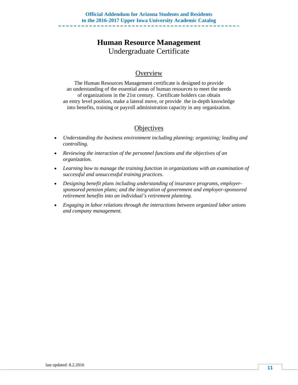# **Human Resource Management**  Undergraduate Certificate

### **Overview**

The Human Resources Management certificate is designed to provide an understanding of the essential areas of human resources to meet the needs of organizations in the 21st century. Certificate holders can obtain an entry level position, make a lateral move, or provide the in-depth knowledge into benefits, training or payroll administration capacity in any organization.

- *Understanding the business environment including planning; organizing; leading and controlling.*
- *Reviewing the interaction of the personnel functions and the objectives of an organization.*
- *Learning how to manage the training function in organizations with an examination of successful and unsuccessful training practices.*
- *Designing benefit plans including understanding of insurance programs, employersponsored pension plans; and the integration of government and employer-sponsored retirement benefits into an individual's retirement planning.*
- *Engaging in labor relations through the interactions between organized labor unions and company management.*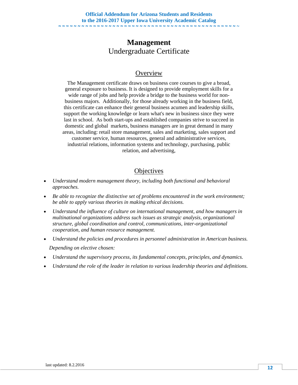# **Management**  Undergraduate Certificate

### **Overview**

The Management certificate draws on business core courses to give a broad, general exposure to business. It is designed to provide employment skills for a wide range of jobs and help provide a bridge to the business world for nonbusiness majors. Additionally, for those already working in the business field, this certificate can enhance their general business acumen and leadership skills, support the working knowledge or learn what's new in business since they were last in school. As both start-ups and established companies strive to succeed in domestic and global markets, business managers are in great demand in many areas, including: retail store management, sales and marketing, sales support and customer service, human resources, general and administrative services, industrial relations, information systems and technology, purchasing, public relation, and advertising,

- *Understand modern management theory, including both functional and behavioral approaches.*
- *Be able to recognize the distinctive set of problems encountered in the work environment; be able to apply various theories in making ethical decisions.*
- *Understand the influence of culture on international management, and how managers in multinational organizations address such issues as strategic analysis, organizational structure, global coordination and control, communications, inter-organizational cooperation, and human resource management.*
- *Understand the policies and procedures in personnel administration in American business. Depending on elective chosen:*
- *Understand the supervisory process, its fundamental concepts, principles, and dynamics.*
- *Understand the role of the leader in relation to various leadership theories and definitions.*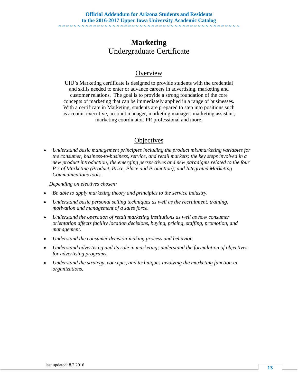# **Marketing**  Undergraduate Certificate

### **Overview**

UIU's Marketing certificate is designed to provide students with the credential and skills needed to enter or advance careers in advertising, marketing and customer relations. The goal is to provide a strong foundation of the core concepts of marketing that can be immediately applied in a range of businesses. With a certificate in Marketing, students are prepared to step into positions such as account executive, account manager, marketing manager, marketing assistant, marketing coordinator, PR professional and more.

### **Objectives**

 *Understand basic management principles including the product mix/marketing variables for the consumer, business-to-business, service, and retail markets; the key steps involved in a new product introduction; the emerging perspectives and new paradigms related to the four P's of Marketing (Product, Price, Place and Promotion); and Integrated Marketing Communications tools.* 

 *Depending on electives chosen:* 

- *Be able to apply marketing theory and principles to the service industry.*
- *Understand basic personal selling techniques as well as the recruitment, training, motivation and management of a sales force.*
- *Understand the operation of retail marketing institutions as well as how consumer orientation affects facility location decisions, buying, pricing, staffing, promotion, and management.*
- *Understand the consumer decision-making process and behavior.*
- *Understand advertising and its role in marketing; understand the formulation of objectives for advertising programs.*
- *Understand the strategy, concepts, and techniques involving the marketing function in organizations.*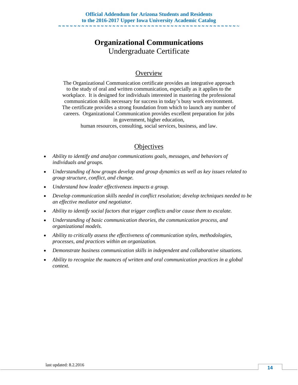# **Organizational Communications**  Undergraduate Certificate

### **Overview**

The Organizational Communication certificate provides an integrative approach to the study of oral and written communication, especially as it applies to the workplace. It is designed for individuals interested in mastering the professional communication skills necessary for success in today's busy work environment. The certificate provides a strong foundation from which to launch any number of careers. Organizational Communication provides excellent preparation for jobs in government, higher education,

human resources, consulting, social services, business, and law.

- *Ability to identify and analyze communications goals, messages, and behaviors of individuals and groups.*
- *Understanding of how groups develop and group dynamics as well as key issues related to group structure, conflict, and change.*
- *Understand how leader effectiveness impacts a group.*
- *Develop communication skills needed in conflict resolution; develop techniques needed to be an effective mediator and negotiator.*
- *Ability to identify social factors that trigger conflicts and/or cause them to escalate.*
- *Understanding of basic communication theories, the communication process, and organizational models.*
- *Ability to critically assess the effectiveness of communication styles, methodologies, processes, and practices within an organization.*
- *Demonstrate business communication skills in independent and collaborative situations.*
- *Ability to recognize the nuances of written and oral communication practices in a global context.*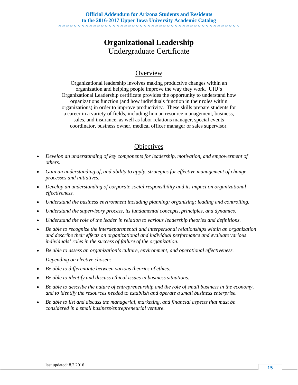# **Organizational Leadership**  Undergraduate Certificate

### **Overview**

Organizational leadership involves making productive changes within an organization and helping people improve the way they work. UIU's Organizational Leadership certificate provides the opportunity to understand how organizations function (and how individuals function in their roles within organizations) in order to improve productivity. These skills prepare students for a career in a variety of fields, including human resource management, business, sales, and insurance, as well as labor relations manager, special events coordinator, business owner, medical officer manager or sales supervisor.

- *Develop an understanding of key components for leadership, motivation, and empowerment of others.*
- *Gain an understanding of, and ability to apply, strategies for effective management of change processes and initiatives.*
- *Develop an understanding of corporate social responsibility and its impact on organizational effectiveness.*
- *Understand the business environment including planning; organizing; leading and controlling.*
- *Understand the supervisory process, its fundamental concepts, principles, and dynamics.*
- *Understand the role of the leader in relation to various leadership theories and definitions.*
- *Be able to recognize the interdepartmental and interpersonal relationships within an organization and describe their effects on organizational and individual performance and evaluate various individuals' roles in the success of failure of the organization.*
- *Be able to assess an organization's culture, environment, and operational effectiveness. Depending on elective chosen:*
- *Be able to differentiate between various theories of ethics.*
- *Be able to identify and discuss ethical issues in business situations.*
- *Be able to describe the nature of entrepreneurship and the role of small business in the economy, and to identify the resources needed to establish and operate a small business enterprise.*
- *Be able to list and discuss the managerial, marketing, and financial aspects that must be considered in a small business/entrepreneurial venture.*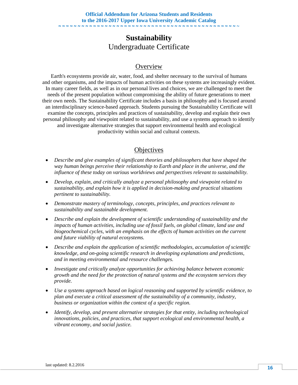# **Sustainability**  Undergraduate Certificate

### **Overview**

Earth's ecosystems provide air, water, food, and shelter necessary to the survival of humans and other organisms, and the impacts of human activities on these systems are increasingly evident. In many career fields, as well as in our personal lives and choices, we are challenged to meet the needs of the present population without compromising the ability of future generations to meet their own needs. The Sustainability Certificate includes a basis in philosophy and is focused around an interdisciplinary science-based approach. Students pursuing the Sustainability Certificate will examine the concepts, principles and practices of sustainability, develop and explain their own personal philosophy and viewpoint related to sustainability, and use a systems approach to identify and investigate alternative strategies that support environmental health and ecological productivity within social and cultural contexts.

- *Describe and give examples of significant theories and philosophers that have shaped the way human beings perceive their relationship to Earth and place in the universe, and the influence of these today on various worldviews and perspectives relevant to sustainability.*
- *Develop, explain, and critically analyze a personal philosophy and viewpoint related to sustainability, and explain how it is applied in decision-making and practical situations pertinent to sustainability.*
- *Demonstrate mastery of terminology, concepts, principles, and practices relevant to sustainability and sustainable development.*
- *Describe and explain the development of scientific understanding of sustainability and the impacts of human activities, including use of fossil fuels, on global climate, land use and biogeochemical cycles, with an emphasis on the effects of human activities on the current and future viability of natural ecosystems.*
- *Describe and explain the application of scientific methodologies, accumulation of scientific knowledge, and on-going scientific research in developing explanations and predictions, and in meeting environmental and resource challenges.*
- *Investigate and critically analyze opportunities for achieving balance between economic growth and the need for the protection of natural systems and the ecosystem services they provide.*
- *Use a systems approach based on logical reasoning and supported by scientific evidence, to plan and execute a critical assessment of the sustainability of a community, industry, business or organization within the context of a specific region.*
- *Identify, develop, and present alternative strategies for that entity, including technological innovations, policies, and practices, that support ecological and environmental health, a vibrant economy, and social justice.*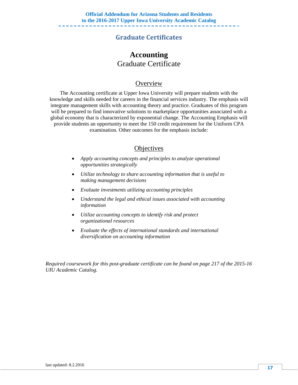### **Graduate Certificates**

# **Accounting**  Graduate Certificate

#### **Overview**

The Accounting certificate at Upper Iowa University will prepare students with the knowledge and skills needed for careers in the financial services industry. The emphasis will integrate management skills with accounting theory and practice. Graduates of this program will be prepared to find innovative solutions to marketplace opportunities associated with a global economy that is characterized by exponential change. The Accounting Emphasis will provide students an opportunity to meet the 150 credit requirement for the Uniform CPA examination. Other outcomes for the emphasis include:

#### **Objectives**

- *Apply accounting concepts and principles to analyze operational opportunities strategically*
- *Utilize technology to share accounting information that is useful to making management decisions*
- *Evaluate investments utilizing accounting principles*
- *Understand the legal and ethical issues associated with accounting information*
- *Utilize accounting concepts to identify risk and protect organizational resources*
- *Evaluate the effects of international standards and international diversification on accounting information*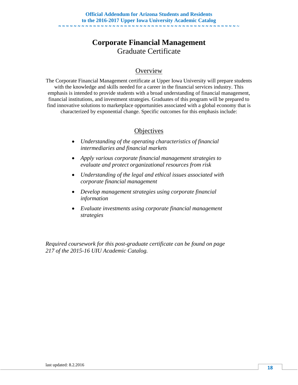# **Corporate Financial Management**  Graduate Certificate

### **Overview**

The Corporate Financial Management certificate at Upper Iowa University will prepare students with the knowledge and skills needed for a career in the financial services industry. This emphasis is intended to provide students with a broad understanding of financial management, financial institutions, and investment strategies. Graduates of this program will be prepared to find innovative solutions to marketplace opportunities associated with a global economy that is characterized by exponential change. Specific outcomes for this emphasis include:

### **Objectives**

- *Understanding of the operating characteristics of financial intermediaries and financial markets*
- *Apply various corporate financial management strategies to evaluate and protect organizational resources from risk*
- *Understanding of the legal and ethical issues associated with corporate financial management*
- *Develop management strategies using corporate financial information*
- *Evaluate investments using corporate financial management strategies*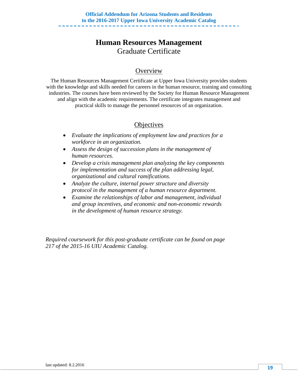# **Human Resources Management**  Graduate Certificate

### **Overview**

The Human Resources Management Certificate at Upper Iowa University provides students with the knowledge and skills needed for careers in the human resource, training and consulting industries. The courses have been reviewed by the Society for Human Resource Management and align with the academic requirements. The certificate integrates management and practical skills to manage the personnel resources of an organization.

### **Objectives**

- *Evaluate the implications of employment law and practices for a workforce in an organization.*
- *Assess the design of succession plans in the management of human resources.*
- *Develop a crisis management plan analyzing the key components for implementation and success of the plan addressing legal, organizational and cultural ramifications.*
- *Analyze the culture, internal power structure and diversity protocol in the management of a human resource department.*
- *Examine the relationships of labor and management, individual and group incentives, and economic and non-economic rewards in the development of human resource strategy.*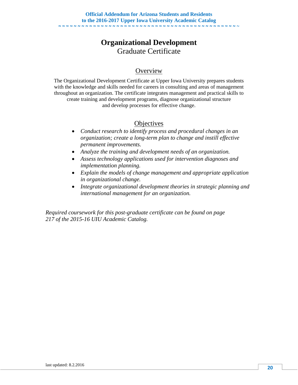# **Organizational Development**  Graduate Certificate

### **Overview**

The Organizational Development Certificate at Upper Iowa University prepares students with the knowledge and skills needed for careers in consulting and areas of management throughout an organization. The certificate integrates management and practical skills to create training and development programs, diagnose organizational structure and develop processes for effective change.

### **Objectives**

- *Conduct research to identify process and procedural changes in an organization; create a long-term plan to change and instill effective permanent improvements.*
- *Analyze the training and development needs of an organization.*
- *Assess technology applications used for intervention diagnoses and implementation planning.*
- *Explain the models of change management and appropriate application in organizational change.*
- *Integrate organizational development theories in strategic planning and international management for an organization.*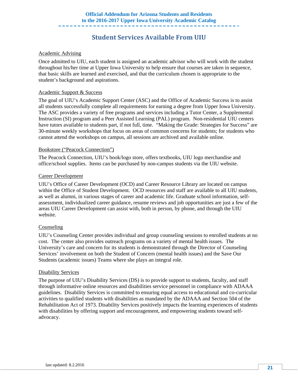### **Student Services Available From UIU**

#### Academic Advising

Once admitted to UIU, each student is assigned an academic advisor who will work with the student throughout his/her time at Upper Iowa University to help ensure that courses are taken in sequence, that basic skills are learned and exercised, and that the curriculum chosen is appropriate to the student's background and aspirations.

#### Academic Support & Success

The goal of UIU's Academic Support Center (ASC) and the Office of Academic Success is to assist all students successfully complete all requirements for earning a degree from Upper Iowa University. The ASC provides a variety of free programs and services including a Tutor Center, a Supplemental Instruction (SI) program and a Peer Assisted Learning (PAL) program. Non-residential UIU centers have tutors available to students part, if not full, time. "Making the Grade: Strategies for Success" are 30-minute weekly workshops that focus on areas of common concerns for students; for students who cannot attend the workshops on campus, all sessions are archived and available online.

#### Bookstore ("Peacock Connection")

The Peacock Connection, UIU's book/logo store, offers textbooks, UIU logo merchandise and office/school supplies. Items can be purchased by non-campus students via the UIU website.

#### Career Development

UIU's Office of Career Development (OCD) and Career Resource Library are located on campus within the Office of Student Development. OCD resources and staff are available to all UIU students, as well as alumni, in various stages of career and academic life. Graduate school information, selfassessment, individualized career guidance, resume reviews and job opportunities are just a few of the areas UIU Career Development can assist with, both in person, by phone, and through the UIU website.

#### Counseling

UIU's Counseling Center provides individual and group counseling sessions to enrolled students at no cost. The center also provides outreach programs on a variety of mental health issues. The University's care and concern for its students is demonstrated through the Director of Counseling Services' involvement on both the Student of Concern (mental health issues) and the Save Our Students (academic issues) Teams where she plays an integral role.

#### Disability Services

The purpose of UIU's Disability Services (DS) is to provide support to students, faculty, and staff through informative online resources and disabilities service personnel in compliance with ADAAA guidelines. Disability Services is committed to ensuring equal access to educational and co-curricular activities to qualified students with disabilities as mandated by the ADAAA and Section 504 of the Rehabilitation Act of 1973. Disability Services positively impacts the learning experiences of students with disabilities by offering support and encouragement, and empowering students toward selfadvocacy.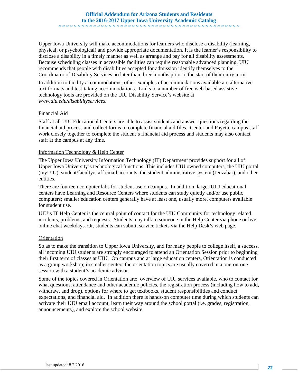Upper Iowa University will make accommodations for learners who disclose a disability (learning, physical, or psychological) and provide appropriate documentation. It is the learner's responsibility to disclose a disability in a timely manner as well as arrange and pay for all disability assessments. Because scheduling classes in accessible facilities can require reasonable advanced planning, UIU recommends that people with disabilities accepted for admission identify themselves to the Coordinator of Disability Services no later than three months prior to the start of their entry term.

In addition to facility accommodations, other examples of accommodations available are alternative text formats and test-taking accommodations. Links to a number of free web-based assistive technology tools are provided on the UIU Disability Service's website at *www.uiu.edu/disabilityservices*.

#### Financial Aid

Staff at all UIU Educational Centers are able to assist students and answer questions regarding the financial aid process and collect forms to complete financial aid files. Center and Fayette campus staff work closely together to complete the student's financial aid process and students may also contact staff at the campus at any time.

#### Information Technology & Help Center

The Upper Iowa University Information Technology (IT) Department provides support for all of Upper Iowa University's technological functions. This includes UIU owned computers, the UIU portal (myUIU), student/faculty/staff email accounts, the student administrative system (Jenzabar), and other entities.

There are fourteen computer labs for student use on campus. In addition, larger UIU educational centers have Learning and Resource Centers where students can study quietly and/or use public computers; smaller education centers generally have at least one, usually more, computers available for student use.

UIU's IT Help Center is the central point of contact for the UIU Community for technology related incidents, problems, and requests. Students may talk to someone in the Help Center via phone or live online chat weekdays. Or, students can submit service tickets via the Help Desk's web page.

#### **Orientation**

So as to make the transition to Upper Iowa University, and for many people to college itself, a success, all incoming UIU students are strongly encouraged to attend an Orientation Session prior to beginning their first term of classes at UIU. On campus and at large education centers, Orientation is conducted as a group workshop; in smaller centers the orientation topics are usually covered in a one-on-one session with a student's academic advisor.

Some of the topics covered in Orientation are: overview of UIU services available, who to contact for what questions, attendance and other academic policies, the registration process (including how to add, withdraw, and drop), options for where to get textbooks, student responsibilities and conduct expectations, and financial aid. In addition there is hands-on computer time during which students can activate their UIU email account, learn their way around the school portal (i.e. grades, registration, announcements), and explore the school website.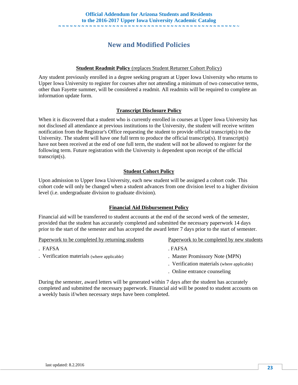# **New and Modified Policies**

#### **Student Readmit Policy** (replaces Student Returner Cohort Policy)

Any student previously enrolled in a degree seeking program at Upper Iowa University who returns to Upper Iowa University to register for courses after not attending a minimum of two consecutive terms, other than Fayette summer, will be considered a readmit. All readmits will be required to complete an information update form.

#### **Transcript Disclosure Policy**

When it is discovered that a student who is currently enrolled in courses at Upper Iowa University has not disclosed all attendance at previous institutions to the University, the student will receive written notification from the Registrar's Office requesting the student to provide official transcript(s) to the University. The student will have one full term to produce the official transcript(s). If transcript(s) have not been received at the end of one full term, the student will not be allowed to register for the following term. Future registration with the University is dependent upon receipt of the official transcript(s).

#### **Student Cohort Policy**

Upon admission to Upper Iowa University, each new student will be assigned a cohort code. This cohort code will only be changed when a student advances from one division level to a higher division level (i.e. undergraduate division to graduate division).

#### **Financial Aid Disbursement Policy**

Financial aid will be transferred to student accounts at the end of the second week of the semester, provided that the student has accurately completed and submitted the necessary paperwork 14 days prior to the start of the semester and has accepted the award letter 7 days prior to the start of semester.

| Paperwork to be completed by returning students | Paperwork to be completed by new students   |
|-------------------------------------------------|---------------------------------------------|
| . FAFSA                                         | . FAFSA                                     |
| . Verification materials (where applicable)     | . Master Promissory Note (MPN)              |
|                                                 | . Verification materials (where applicable) |
|                                                 | . Online entrance counseling                |
|                                                 |                                             |

During the semester, award letters will be generated within 7 days after the student has accurately completed and submitted the necessary paperwork. Financial aid will be posted to student accounts on a weekly basis if/when necessary steps have been completed.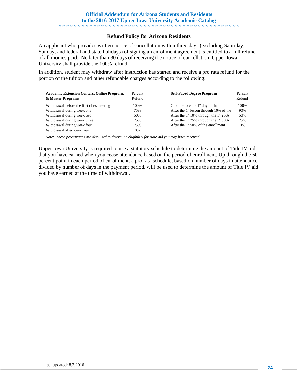#### **Refund Policy for Arizona Residents**

An applicant who provides written notice of cancellation within three days (excluding Saturday, Sunday, and federal and state holidays) of signing an enrollment agreement is entitled to a full refund of all monies paid. No later than 30 days of receiving the notice of cancellation, Upper Iowa University shall provide the 100% refund.

In addition, student may withdraw after instruction has started and receive a pro rata refund for the portion of the tuition and other refundable charges according to the following:

| <b>Academic Extension Centers, Online Program,</b><br>& Master Programs | Percent<br>Refund | <b>Self-Paced Degree Program</b>                              | Percent<br>Refund |
|-------------------------------------------------------------------------|-------------------|---------------------------------------------------------------|-------------------|
| Withdrawal before the first class meeting                               | 100%              | On or before the $1st$ day of the                             | 100%              |
| Withdrawal during week one                                              | 75%               | After the $1st$ lesson through 10% of the                     | 90%               |
| Withdrawal during week two                                              | 50%               | After the 1 <sup>st</sup> 10% through the 1 <sup>st</sup> 25% | 50%               |
| Withdrawal during week three                                            | 25%               | After the 1 <sup>st</sup> 25% through the 1 <sup>st</sup> 50% | 25%               |
| Withdrawal during week four                                             | 25%               | After the $1st 50%$ of the enrollment                         | $0\%$             |
| Withdrawal after week four                                              | 0%                |                                                               |                   |

*Note: These percentages are also used to determine eligibility for state aid you may have received.* 

Upper Iowa University is required to use a statutory schedule to determine the amount of Title IV aid that you have earned when you cease attendance based on the period of enrollment. Up through the 60 percent point in each period of enrollment, a pro rata schedule, based on number of days in attendance divided by number of days in the payment period, will be used to determine the amount of Title IV aid you have earned at the time of withdrawal.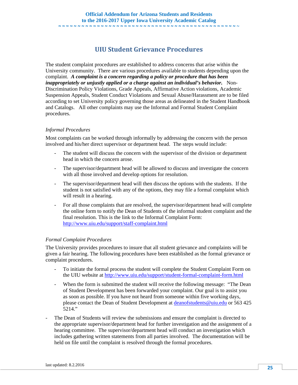### **UIU Student Grievance Procedures**

The student complaint procedures are established to address concerns that arise within the University community. There are various procedures available to students depending upon the complaint. *A complaint is a concern regarding a policy or procedure that has been inappropriately or unjustly applied or a charge against an individual's behavior.* Non-Discrimination Policy Violations, Grade Appeals, Affirmative Action violations, Academic Suspension Appeals, Student Conduct Violations and Sexual Abuse/Harassment are to be filed according to set University policy governing those areas as delineated in the Student Handbook and Catalogs. All other complaints may use the Informal and Formal Student Complaint procedures.

#### *Informal Procedures*

Most complaints can be worked through informally by addressing the concern with the person involved and his/her direct supervisor or department head. The steps would include:

- The student will discuss the concern with the supervisor of the division or department head in which the concern arose.
- The supervisor/department head will be allowed to discuss and investigate the concern with all those involved and develop options for resolution.
- The supervisor/department head will then discuss the options with the students. If the student is not satisfied with any of the options, they may file a formal complaint which will result in a hearing.
- For all those complaints that are resolved, the supervisor/department head will complete the online form to notify the Dean of Students of the informal student complaint and the final resolution. This is the link to the Informal Complaint Form: http://www.uiu.edu/support/staff-complaint.html

#### *Formal Complaint Procedures*

The University provides procedures to insure that all student grievance and complaints will be given a fair hearing. The following procedures have been established as the formal grievance or complaint procedures.

- To initiate the formal process the student will complete the Student Complaint Form on the UIU website at http://www.uiu.edu/support/student-formal-complaint-form.html
- When the form is submitted the student will receive the following message: "The Dean of Student Development has been forwarded your complaint. Our goal is to assist you as soon as possible. If you have not heard from someone within five working days, please contact the Dean of Student Development at deanofstudents@uiu.edu or 563 425 5214."
- The Dean of Students will review the submissions and ensure the complaint is directed to the appropriate supervisor/department head for further investigation and the assignment of a hearing committee. The supervisor/department head will conduct an investigation which includes gathering written statements from all parties involved. The documentation will be held on file until the complaint is resolved through the formal procedures.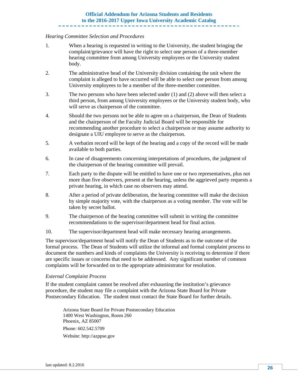#### **Official Addendum for Arizona Students and Residents to the 2016-2017 Upper Iowa University Academic Catalog ~ ~ ~ ~ ~ ~ ~ ~ ~ ~ ~ ~ ~ ~ ~ ~ ~ ~ ~ ~ ~ ~ ~ ~ ~ ~ ~ ~ ~ ~ ~ ~ ~ ~ ~ ~ ~ ~ ~ ~ ~ ~ ~ ~ ~ ~** ~

#### *Hearing Committee Selection and Procedures*

- 1. When a hearing is requested in writing to the University, the student bringing the complaint/grievance will have the right to select one person of a three-member hearing committee from among University employees or the University student body.
- 2. The administrative head of the University division containing the unit where the complaint is alleged to have occurred will be able to select one person from among University employees to be a member of the three-member committee.
- 3. The two persons who have been selected under (1) and (2) above will then select a third person, from among University employees or the University student body, who will serve as chairperson of the committee.
- 4. Should the two persons not be able to agree on a chairperson, the Dean of Students and the chairperson of the Faculty Judicial Board will be responsible for recommending another procedure to select a chairperson or may assume authority to designate a UIU employee to serve as the chairperson.
- 5. A verbatim record will be kept of the hearing and a copy of the record will be made available to both parties.
- 6. In case of disagreements concerning interpretations of procedures, the judgment of the chairperson of the hearing committee will prevail.
- 7. Each party to the dispute will be entitled to have one or two representatives, plus not more than five observers, present at the hearing, unless the aggrieved party requests a private hearing, in which case no observers may attend.
- 8. After a period of private deliberation, the hearing committee will make the decision by simple majority vote, with the chairperson as a voting member. The vote will be taken by secret ballot.
- 9. The chairperson of the hearing committee will submit in writing the committee recommendations to the supervisor/department head for final action.
- 10. The supervisor/department head will make necessary hearing arrangements.

The supervisor/department head will notify the Dean of Students as to the outcome of the formal process. The Dean of Students will utilize the informal and formal complaint process to document the numbers and kinds of complaints the University is receiving to determine if there are specific issues or concerns that need to be addressed. Any significant number of common complaints will be forwarded on to the appropriate administrator for resolution.

#### *External Complaint Process*

If the student complaint cannot be resolved after exhausting the institution's grievance procedure, the student may file a complaint with the Arizona State Board for Private Postsecondary Education. The student must contact the State Board for further details.

 Arizona State Board for Private Postsecondary Education 1400 West Washington, Room 260 Phoenix, AZ 85007 Phone: 602.542.5709 Website: http://azppse.gov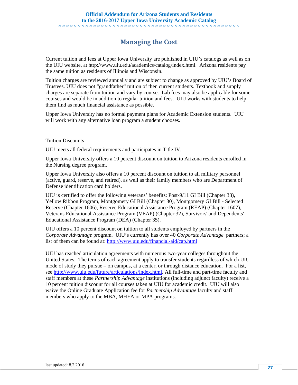# **Managing the Cost**

Current tuition and fees at Upper Iowa University are published in UIU's catalogs as well as on the UIU website, at http://www.uiu.edu/academics/catalog/index.html. Arizona residents pay the same tuition as residents of Illinois and Wisconsin.

Tuition charges are reviewed annually and are subject to change as approved by UIU's Board of Trustees. UIU does not "grandfather" tuition of then current students. Textbook and supply charges are separate from tuition and vary by course. Lab fees may also be applicable for some courses and would be in addition to regular tuition and fees. UIU works with students to help them find as much financial assistance as possible.

Upper Iowa University has no formal payment plans for Academic Extension students. UIU will work with any alternative loan program a student chooses.

#### Tuition Discounts

UIU meets all federal requirements and participates in Title IV.

Upper Iowa University offers a 10 percent discount on tuition to Arizona residents enrolled in the Nursing degree program.

Upper Iowa University also offers a 10 percent discount on tuition to all military personnel (active, guard, reserve, and retired), as well as their family members who are Department of Defense identification card holders.

UIU is certified to offer the following veterans' benefits: Post-9/11 GI Bill (Chapter 33), Yellow Ribbon Program, Montgomery GI Bill (Chapter 30), Montgomery GI Bill - Selected Reserve (Chapter 1606), Reserve Educational Assistance Program (REAP) (Chapter 1607), Veterans Educational Assistance Program (VEAP) (Chapter 32), Survivors' and Dependents' Educational Assistance Program (DEA) (Chapter 35).

UIU offers a 10 percent discount on tuition to all students employed by partners in the *Corporate Advantage* program. UIU's currently has over 40 *Corporate Advantage* partners; a list of them can be found at: http://www.uiu.edu/financial-aid/cap.html

UIU has reached articulation agreements with numerous two-year colleges throughout the United States. The terms of each agreement apply to transfer students regardless of which UIU mode of study they pursue – on campus, at a center, or through distance education. For a list, see http://www.uiu.edu/future/articulations/index.html. All full-time and part-time faculty and staff members at these *Partnership Advantage* institutions (including adjunct faculty) receive a 10 percent tuition discount for all courses taken at UIU for academic credit. UIU will also waive the Online Graduate Application fee for *Partnership Advantage* faculty and staff members who apply to the MBA, MHEA or MPA programs.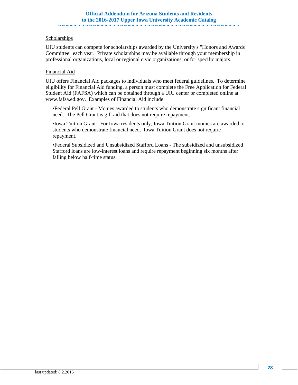#### Scholarships

UIU students can compete for scholarships awarded by the University's "Honors and Awards Committee" each year. Private scholarships may be available through your membership in professional organizations, local or regional civic organizations, or for specific majors.

#### Financial Aid

UIU offers Financial Aid packages to individuals who meet federal guidelines. To determine eligibility for Financial Aid funding, a person must complete the Free Application for Federal Student Aid (FAFSA) which can be obtained through a UIU center or completed online at www.fafsa.ed.gov. Examples of Financial Aid include:

•Federal Pell Grant - Monies awarded to students who demonstrate significant financial need. The Pell Grant is gift aid that does not require repayment.

•Iowa Tuition Grant - For Iowa residents only, Iowa Tuition Grant monies are awarded to students who demonstrate financial need. Iowa Tuition Grant does not require repayment.

•Federal Subsidized and Unsubsidized Stafford Loans - The subsidized and unsubsidized Stafford loans are low-interest loans and require repayment beginning six months after falling below half-time status.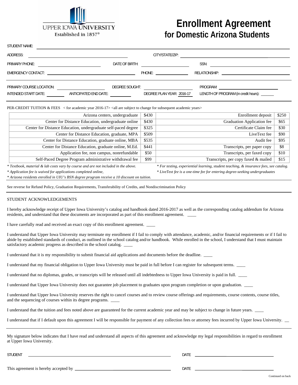

# **Enrollment Agreement for Domestic Arizona Students**

| STUDENT NAME:                                 |                                                                                                                                                                                                                                |                                                            |  |
|-----------------------------------------------|--------------------------------------------------------------------------------------------------------------------------------------------------------------------------------------------------------------------------------|------------------------------------------------------------|--|
| ADDRESS:                                      |                                                                                                                                                                                                                                | CITY/STATE/ZIP:                                            |  |
| PRIMARY PHONE:                                | DATE OF BIRTH:                                                                                                                                                                                                                 | SSN:<br><u> 1980 - John Stein, Amerikaansk politiker (</u> |  |
|                                               | PHONE: The contract of the contract of the contract of the contract of the contract of the contract of the contract of the contract of the contract of the contract of the contract of the contract of the contract of the con |                                                            |  |
| PRIMARY COURSE LOCATION:                      | DEGREE SOUGHT:                                                                                                                                                                                                                 |                                                            |  |
| INTENDED START DATE:<br>ANTICIPATED END DATE: | DEGREE PLAN YEAR: 2016-17                                                                                                                                                                                                      | LENGTH OF PROGRAM (in credit hours):                       |  |

PER-CREDIT TUITION & FEES < for academic year 2016-17> <all are subject to change for subsequent academic years>

| Arizona centers, undergraduate                                                     | \$430 | Enrollment deposit                                                                     | \$250 |
|------------------------------------------------------------------------------------|-------|----------------------------------------------------------------------------------------|-------|
| Center for Distance Education, undergraduate online                                | \$430 | Graduation Application fee                                                             | \$65  |
| Center for Distance Education, undergraduate self-paced degree                     | \$325 | Certificate Claim fee                                                                  | \$30  |
| Center for Distance Education, graduate, MPA                                       | \$509 | LiveText fee                                                                           | \$90  |
| Center for Distance Education, graduate online, MBA                                | \$535 | Audit fee                                                                              | \$95  |
| Center for Distance Education, graduate online, M.Ed.                              | \$441 | Transcripts, per paper copy                                                            | \$8   |
| Application fee, non campus, nonrefundable                                         | \$50  | Transcripts, per faxed copy                                                            | \$10  |
| Self-Paced Degree Program administrative withdrawal fee                            | \$99  | Transcripts, per copy faxed & mailed                                                   | \$15  |
| * Textbook, material & lab costs vary by course and are not included in the above. |       | * For testing, experiential learning, student teaching, & insurance fees, see catalog. |       |
| * Application fee is waived for applications completed online,                     |       | * LiveText fee is a one-time fee for entering degree-seeking undergraduates            |       |

*\* Arizona residents enrolled in UIU's BSN degree program receive a 10 discount on tuition.* 

See reverse for Refund Policy, Graduation Requirements, Transferability of Credits, and Nondiscrimination Policy

#### STUDENT ACKNOWLEDGEMENTS

STUDENT NAME:

I hereby acknowledge receipt of Upper Iowa University's catalog and handbook dated 2016-2017 as well as the corresponding catalog addendum for Arizona residents, and understand that these documents are incorporated as part of this enrollment agreement.

I have carefully read and received an exact copy of this enrollment agreement.

I understand that Upper Iowa University may terminate my enrollment if I fail to comply with attendance, academic, and/or financial requirements or if I fail to abide by established standards of conduct, as outlined in the school catalog and/or handbook. While enrolled in the school, I understand that I must maintain satisfactory academic progress as described in the school catalog.

I understand that it is my responsibility to submit financial aid applications and documents before the deadline. \_\_\_\_

I understand that my financial obligation to Upper Iowa University must be paid in full before I can register for subsequent terms. \_\_\_\_

I understand that no diplomas, grades, or transcripts will be released until all indebtedness to Upper Iowa University is paid in full. \_\_\_\_

I understand that Upper Iowa University does not guarantee job placement to graduates upon program completion or upon graduation. \_\_\_\_

I understand that Upper Iowa University reserves the right to cancel courses and to review course offerings and requirements, course contents, course titles, and the sequencing of courses within its degree programs.

I understand that the tuition and fees noted above are guaranteed for the current academic year and may be subject to change in future years.

I understand that if I default upon this agreement I will be responsible for payment of any collection fees or attorney fees incurred by Upper Iowa University.

My signature below indicates that I have read and understand all aspects of this agreement and acknowledge my legal responsibilities in regard to enrollment at Upper Iowa University.

STUDENT DATE

This agreement is hereby accepted by **DATE** DATE